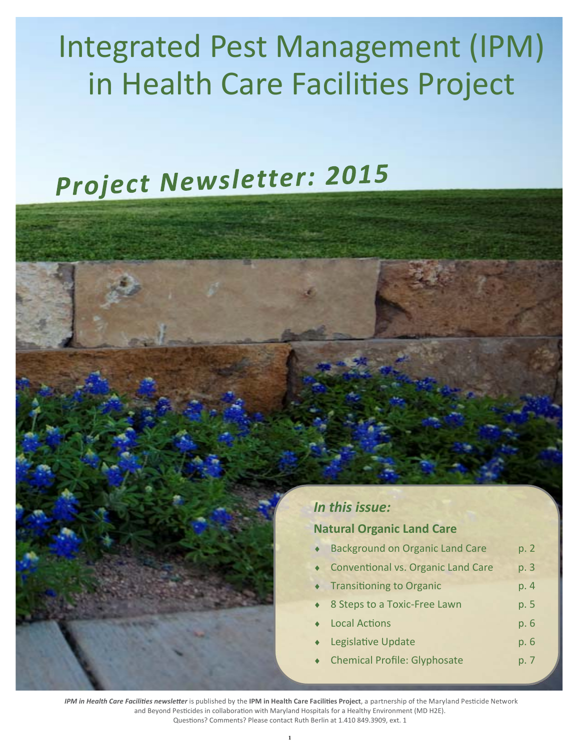## **Integrated Pest Management (IPM)** in Health Care Facilities Project

# Project Newsletter: 2015



#### **Natural Organic Land Care**

- **Background on Organic Land Care**  $p.2$
- **Conventional vs. Organic Land Care** p. 3
- **Transitioning to Organic** p. 4
- 8 Steps to a Toxic-Free Lawn p. 5
- **Local Actions** p. 6
- Legislative Update  $p.6$
- **Chemical Profile: Glyphosate** p. 7

IPM in Health Care Facilities newsletter is published by the IPM in Health Care Facilities Project, a partnership of the Maryland Pesticide Network and Beyond Pesticides in collaboration with Maryland Hospitals for a Healthy Environment (MD H2E). Questions? Comments? Please contact Ruth Berlin at 1.410 849.3909, ext. 1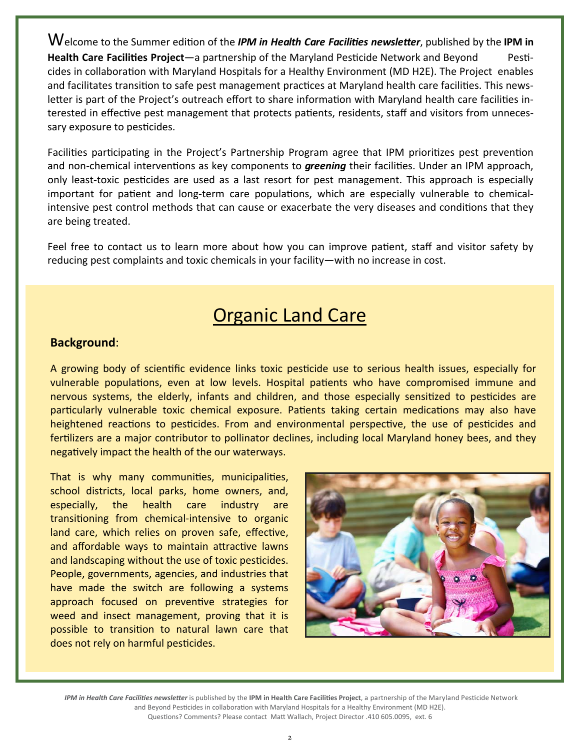Welcome to the Summer edition of the *IPM in Health Care Facilities newsletter*, published by the IPM in Health Care Facilities Project—a partnership of the Maryland Pesticide Network and Beyond Pesticides in collaboration with Maryland Hospitals for a Healthy Environment (MD H2E). The Project enables and facilitates transition to safe pest management practices at Maryland health care facilities. This newsletter is part of the Project's outreach effort to share information with Maryland health care facilities interested in effective pest management that protects patients, residents, staff and visitors from unnecessary exposure to pesticides.

Facilities participating in the Project's Partnership Program agree that IPM prioritizes pest prevention and non-chemical interventions as key components to *greening* their facilities. Under an IPM approach, only least-toxic pesticides are used as a last resort for pest management. This approach is especially important for patient and long-term care populations, which are especially vulnerable to chemicalintensive pest control methods that can cause or exacerbate the very diseases and conditions that they are being treated.

Feel free to contact us to learn more about how you can improve patient, staff and visitor safety by reducing pest complaints and toxic chemicals in your facility—with no increase in cost.

### **Organic Land Care**

#### **Background**:

A growing body of scientific evidence links toxic pesticide use to serious health issues, especially for vulnerable populations, even at low levels. Hospital patients who have compromised immune and nervous systems, the elderly, infants and children, and those especially sensitized to pesticides are particularly vulnerable toxic chemical exposure. Patients taking certain medications may also have heightened reactions to pesticides. From and environmental perspective, the use of pesticides and fertilizers are a major contributor to pollinator declines, including local Maryland honey bees, and they negatively impact the health of the our waterways.

That is why many communities, municipalities, school districts, local parks, home owners, and, especially, the health care industry are transitioning from chemical-intensive to organic land care, which relies on proven safe, effective, and affordable ways to maintain attractive lawns and landscaping without the use of toxic pesticides. People, governments, agencies, and industries that have made the switch are following a systems approach focused on preventive strategies for weed and insect management, proving that it is possible to transition to natural lawn care that does not rely on harmful pesticides.



IPM in Health Care Facilities newsletter is published by the IPM in Health Care Facilities Project, a partnership of the Maryland Pesticide Network and Beyond Pesticides in collaboration with Maryland Hospitals for a Healthy Environment (MD H2E). Questions? Comments? Please contact Matt Wallach, Project Director .410 605.0095, ext. 6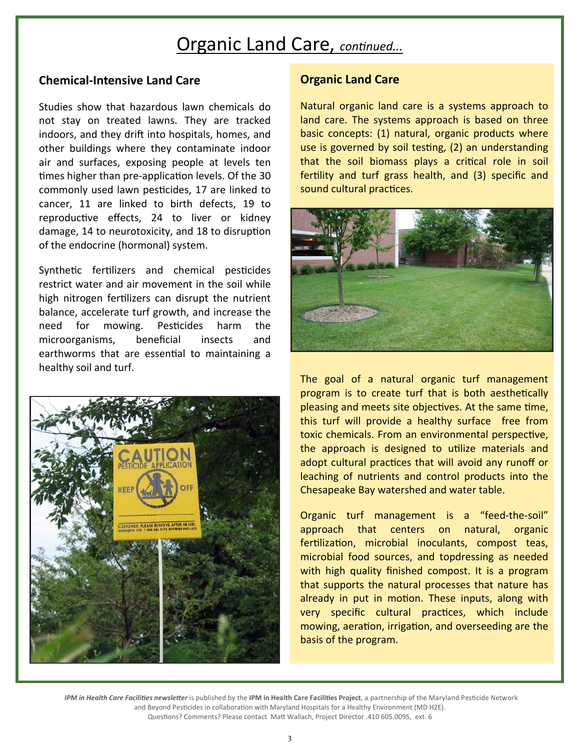### **Organic Land Care, continued...**

#### **Chemical‐Intensive Land Care**

Studies show that hazardous lawn chemicals do not stay on treated lawns. They are tracked indoors, and they drift into hospitals, homes, and other buildings where they contaminate indoor air and surfaces, exposing people at levels ten times higher than pre-application levels. Of the 30 commonly used lawn pesticides, 17 are linked to cancer, 11 are linked to birth defects, 19 to reproductive effects, 24 to liver or kidney damage, 14 to neurotoxicity, and 18 to disruption of the endocrine (hormonal) system.

Synthetic fertilizers and chemical pesticides restrict water and air movement in the soil while high nitrogen fertilizers can disrupt the nutrient balance, accelerate turf growth, and increase the need for mowing. Pesticides harm the microorganisms, beneficial insects and earthworms that are essential to maintaining a healthy soil and turf.



#### **Organic Land Care**

Natural organic land care is a systems approach to land care. The systems approach is based on three basic concepts: (1) natural, organic products where use is governed by soil testing, (2) an understanding that the soil biomass plays a critical role in soil fertility and turf grass health, and (3) specific and sound cultural practices.



The goal of a natural organic turf management program is to create turf that is both aesthetically pleasing and meets site objectives. At the same time, this turf will provide a healthy surface free from toxic chemicals. From an environmental perspective, the approach is designed to uƟlize materials and adopt cultural practices that will avoid any runoff or leaching of nutrients and control products into the Chesapeake Bay watershed and water table.

Organic turf management is a "feed‐the‐soil" approach that centers on natural, organic fertilization, microbial inoculants, compost teas, microbial food sources, and topdressing as needed with high quality finished compost. It is a program that supports the natural processes that nature has already in put in motion. These inputs, along with very specific cultural practices, which include mowing, aeration, irrigation, and overseeding are the basis of the program.

*IPM in Health Care Facilities newsletter* is published by the IPM in Health Care Facilities Project, a partnership of the Maryland Pesticide Network and Beyond Pesticides in collaboration with Maryland Hospitals for a Healthy Environment (MD H2E). Questions? Comments? Please contact Matt Wallach, Project Director .410 605.0095, ext. 6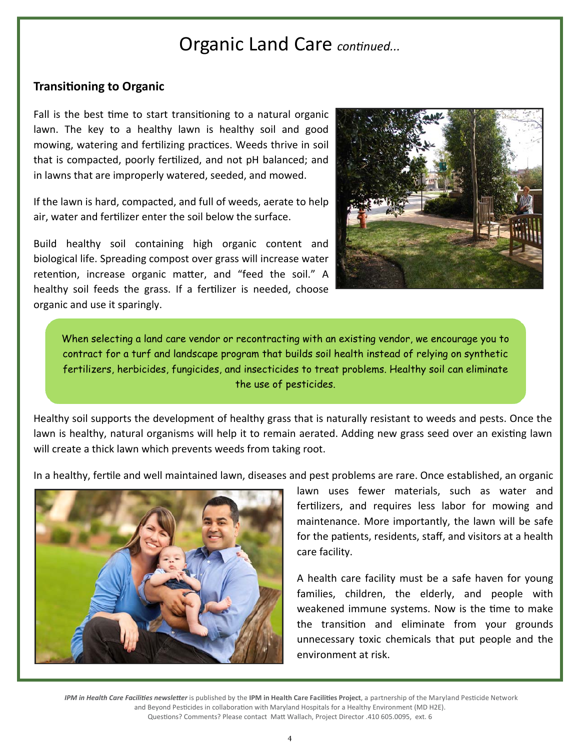### Organic Land Care continued...

#### **Transitioning to Organic**

Fall is the best time to start transitioning to a natural organic lawn. The key to a healthy lawn is healthy soil and good mowing, watering and fertilizing practices. Weeds thrive in soil that is compacted, poorly fertilized, and not pH balanced; and in lawns that are improperly watered, seeded, and mowed.

If the lawn is hard, compacted, and full of weeds, aerate to help air, water and fertilizer enter the soil below the surface.

Build healthy soil containing high organic content and biological life. Spreading compost over grass will increase water retention, increase organic matter, and "feed the soil." A healthy soil feeds the grass. If a fertilizer is needed, choose organic and use it sparingly.



When selecting a land care vendor or recontracting with an existing vendor, we encourage you to contract for a turf and landscape program that builds soil health instead of relying on synthetic fertilizers, herbicides, fungicides, and insecticides to treat problems. Healthy soil can eliminate the use of pesticides.

Healthy soil supports the development of healthy grass that is naturally resistant to weeds and pests. Once the lawn is healthy, natural organisms will help it to remain aerated. Adding new grass seed over an existing lawn will create a thick lawn which prevents weeds from taking root.

In a healthy, fertile and well maintained lawn, diseases and pest problems are rare. Once established, an organic



lawn uses fewer materials, such as water and fertilizers, and requires less labor for mowing and maintenance. More importantly, the lawn will be safe for the patients, residents, staff, and visitors at a health care facility.

A health care facility must be a safe haven for young families, children, the elderly, and people with weakened immune systems. Now is the time to make the transition and eliminate from your grounds unnecessary toxic chemicals that put people and the environment at risk.

IPM in Health Care Facilities newsletter is published by the IPM in Health Care Facilities Project, a partnership of the Maryland Pesticide Network and Beyond Pesticides in collaboration with Maryland Hospitals for a Healthy Environment (MD H2E). Questions? Comments? Please contact Matt Wallach, Project Director .410 605.0095, ext. 6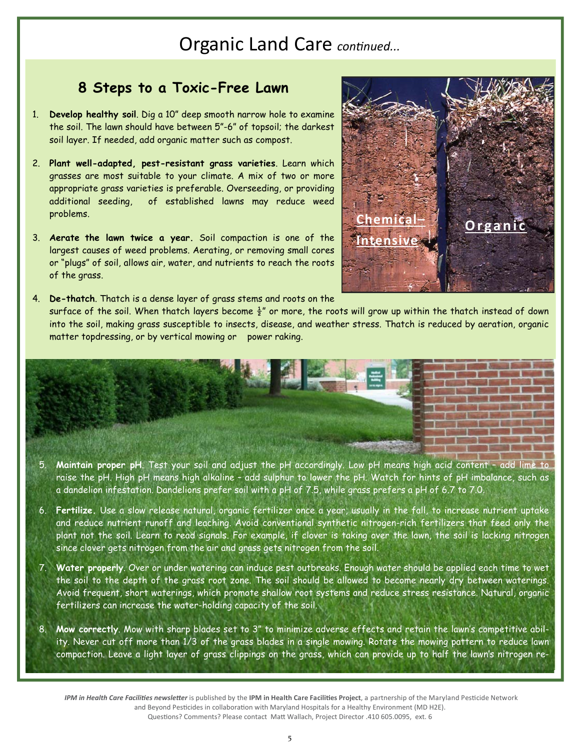### **Organic Land Care continued...**

#### **8 Steps to a Toxic-Free Lawn**

- 1. **Develop healthy soil**. Dig a 10" deep smooth narrow hole to examine the soil. The lawn should have between 5"-6" of topsoil; the darkest soil layer. If needed, add organic matter such as compost.
- 2. **Plant well-adapted, pest-resistant grass varieties**. Learn which grasses are most suitable to your climate. A mix of two or more appropriate grass varieties is preferable. Overseeding, or providing additional seeding, of established lawns may reduce weed problems.
- 3. **Aerate the lawn twice a year.** Soil compaction is one of the largest causes of weed problems. Aerating, or removing small cores or "plugs" of soil, allows air, water, and nutrients to reach the roots of the grass.

**Chemica Intensive Organic** 

4. **De-thatch**. Thatch is a dense layer of grass stems and roots on the surface of the soil. When thatch layers become  $\frac{1}{2}$ " or more, the roots will grow up within the thatch instead of down into the soil, making grass susceptible to insects, disease, and weather stress. Thatch is reduced by aeration, organic matter topdressing, or by vertical mowing or power raking.



- 5. **Maintain proper pH**. Test your soil and adjust the pH accordingly. Low pH means high acid content add lime to raise the pH. High pH means high alkaline – add sulphur to lower the pH. Watch for hints of pH imbalance, such as a dandelion infestation. Dandelions prefer soil with a pH of 7.5, while grass prefers a pH of 6.7 to 7.0.
- 6. **Fertilize.** Use a slow release natural, organic fertilizer once a year, usually in the fall, to increase nutrient uptake and reduce nutrient runoff and leaching. Avoid conventional synthetic nitrogen-rich fertilizers that feed only the plant not the soil. Learn to read signals. For example, if clover is taking over the lawn, the soil is lacking nitrogen since clover gets nitrogen from the air and grass gets nitrogen from the soil.
- 7. **Water properly**. Over or under watering can induce pest outbreaks. Enough water should be applied each time to wet the soil to the depth of the grass root zone. The soil should be allowed to become nearly dry between waterings. Avoid frequent, short waterings, which promote shallow root systems and reduce stress resistance. Natural, organic fertilizers can increase the water-holding capacity of the soil.
- 8. **Mow correctly**. Mow with sharp blades set to 3" to minimize adverse effects and retain the lawn's competitive ability. Never cut off more than 1/3 of the grass blades in a single mowing. Rotate the mowing pattern to reduce lawn compaction. Leave a light layer of grass clippings on the grass, which can provide up to half the lawn's nitrogen re-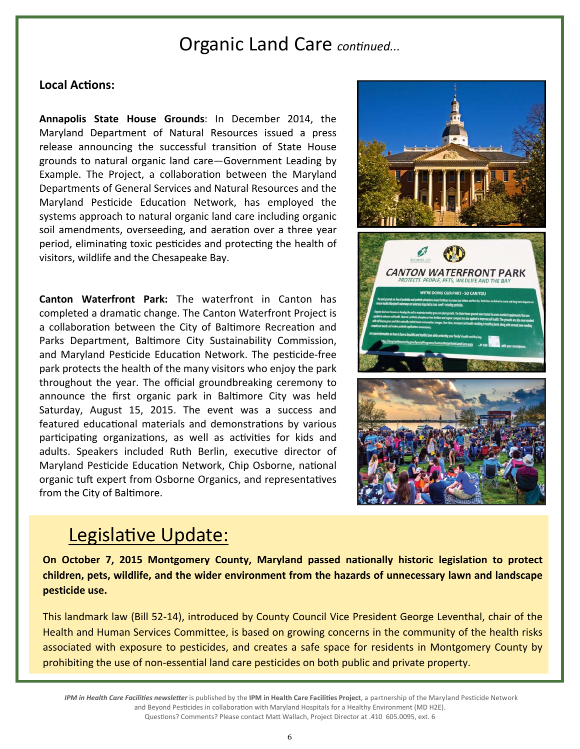### Organic Land Care continued...

#### Local **Actions:**

**Annapolis State House Grounds**: In December 2014, the Maryland Department of Natural Resources issued a press release announcing the successful transition of State House grounds to natural organic land care—Government Leading by Example. The Project, a collaboration between the Maryland Departments of General Services and Natural Resources and the Maryland Pesticide Education Network, has employed the systems approach to natural organic land care including organic soil amendments, overseeding, and aeration over a three year period, eliminating toxic pesticides and protecting the health of visitors, wildlife and the Chesapeake Bay.

**Canton Waterfront Park:** The waterfront in Canton has completed a dramatic change. The Canton Waterfront Project is a collaboration between the City of Baltimore Recreation and Parks Department, Baltimore City Sustainability Commission, and Maryland Pesticide Education Network. The pesticide-free park protects the health of the many visitors who enjoy the park throughout the year. The official groundbreaking ceremony to announce the first organic park in Baltimore City was held Saturday, August 15, 2015. The event was a success and featured educational materials and demonstrations by various participating organizations, as well as activities for kids and adults. Speakers included Ruth Berlin, executive director of Maryland Pesticide Education Network, Chip Osborne, national organic tuft expert from Osborne Organics, and representatives from the City of Baltimore.



### Legislative Update:

**On October 7, 2015 Montgomery County, Maryland passed nationally historic legislation to protect children, pets, wildlife, and the wider environment from the hazards of unnecessary lawn and landscape pesticide use.** 

This landmark law (Bill 52‐14), introduced by County Council Vice President George Leventhal, chair of the Health and Human Services Committee, is based on growing concerns in the community of the health risks associated with exposure to pesticides, and creates a safe space for residents in Montgomery County by prohibiting the use of non‐essential land care pesticides on both public and private property.

IPM in Health Care Facilities newsletter is published by the IPM in Health Care Facilities Project, a partnership of the Maryland Pesticide Network and Beyond Pesticides in collaboration with Maryland Hospitals for a Healthy Environment (MD H2E). Questions? Comments? Please contact Matt Wallach, Project Director at .410 605.0095, ext. 6